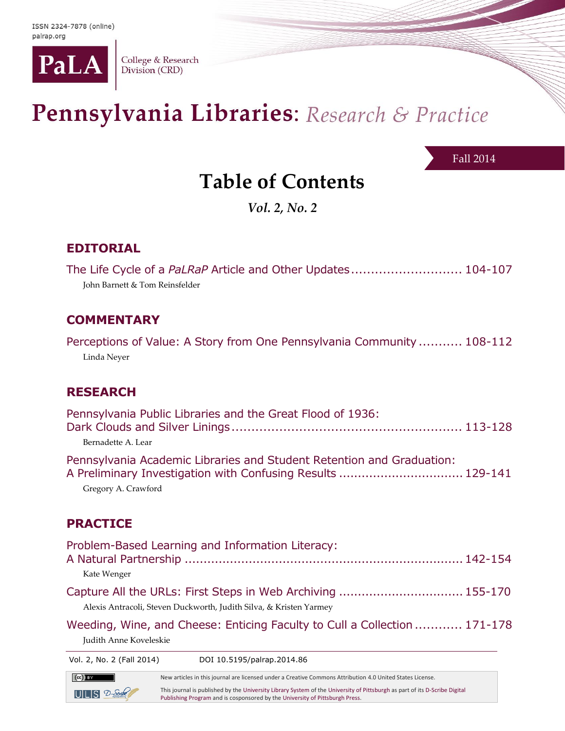

College & Research Division (CRD)

# Pennsylvania Libraries: Research & Practice

Fall 2014

## **Table of Contents**

*Vol. 2, No. 2*

#### **EDITORIAL**

| The Life Cycle of a PaLRaP Article and Other Updates 104-107 |  |  |
|--------------------------------------------------------------|--|--|
| John Barnett & Tom Reinsfelder                               |  |  |

#### **COMMENTARY**

Perceptions of Value: A Story from One Pennsylvania Community ........... 108-112 Linda Neyer

#### **RESEARCH**

| Pennsylvania Public Libraries and the Great Flood of 1936:                                                                           |  |
|--------------------------------------------------------------------------------------------------------------------------------------|--|
| Bernadette A. Lear                                                                                                                   |  |
| Pennsylvania Academic Libraries and Student Retention and Graduation:<br>A Preliminary Investigation with Confusing Results  129-141 |  |
| Gregory A. Crawford                                                                                                                  |  |
|                                                                                                                                      |  |

#### **PRACTICE**

| Problem-Based Learning and Information Literacy:                                                                                                                             |        |
|------------------------------------------------------------------------------------------------------------------------------------------------------------------------------|--------|
|                                                                                                                                                                              |        |
| Kate Wenger                                                                                                                                                                  |        |
|                                                                                                                                                                              |        |
| Alexis Antracoli, Steven Duckworth, Judith Silva, & Kristen Yarmey                                                                                                           |        |
| $\mathbf{M} = \mathbf{P} = \mathbf{M} \mathbf{P}$ and $\mathbf{P} = \mathbf{P} \mathbf{P}$ and $\mathbf{P} = \mathbf{P} \mathbf{P}$ and $\mathbf{P} = \mathbf{P} \mathbf{P}$ | ------ |

Weeding, Wine, and Cheese: Enticing Faculty to Cull a Collection............ 171-178 Judith Anne Koveleskie

Vol. 2, No. 2 (Fall 2014) DOI 10.5195/palrap.2014.86